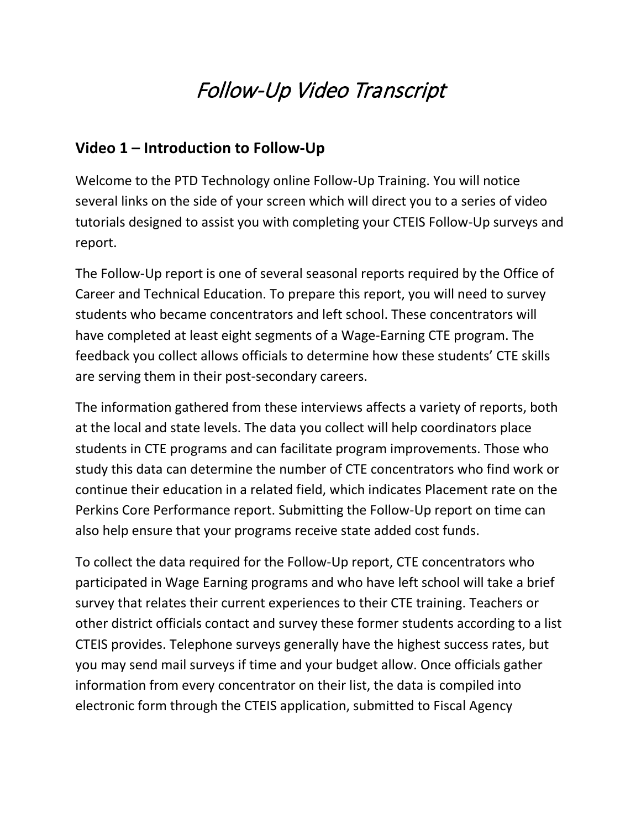# Follow-Up Video Transcript

#### **Video 1 – Introduction to Follow-Up**

Welcome to the PTD Technology online Follow-Up Training. You will notice several links on the side of your screen which will direct you to a series of video tutorials designed to assist you with completing your CTEIS Follow-Up surveys and report.

The Follow-Up report is one of several seasonal reports required by the Office of Career and Technical Education. To prepare this report, you will need to survey students who became concentrators and left school. These concentrators will have completed at least eight segments of a Wage-Earning CTE program. The feedback you collect allows officials to determine how these students' CTE skills are serving them in their post-secondary careers.

The information gathered from these interviews affects a variety of reports, both at the local and state levels. The data you collect will help coordinators place students in CTE programs and can facilitate program improvements. Those who study this data can determine the number of CTE concentrators who find work or continue their education in a related field, which indicates Placement rate on the Perkins Core Performance report. Submitting the Follow-Up report on time can also help ensure that your programs receive state added cost funds.

To collect the data required for the Follow-Up report, CTE concentrators who participated in Wage Earning programs and who have left school will take a brief survey that relates their current experiences to their CTE training. Teachers or other district officials contact and survey these former students according to a list CTEIS provides. Telephone surveys generally have the highest success rates, but you may send mail surveys if time and your budget allow. Once officials gather information from every concentrator on their list, the data is compiled into electronic form through the CTEIS application, submitted to Fiscal Agency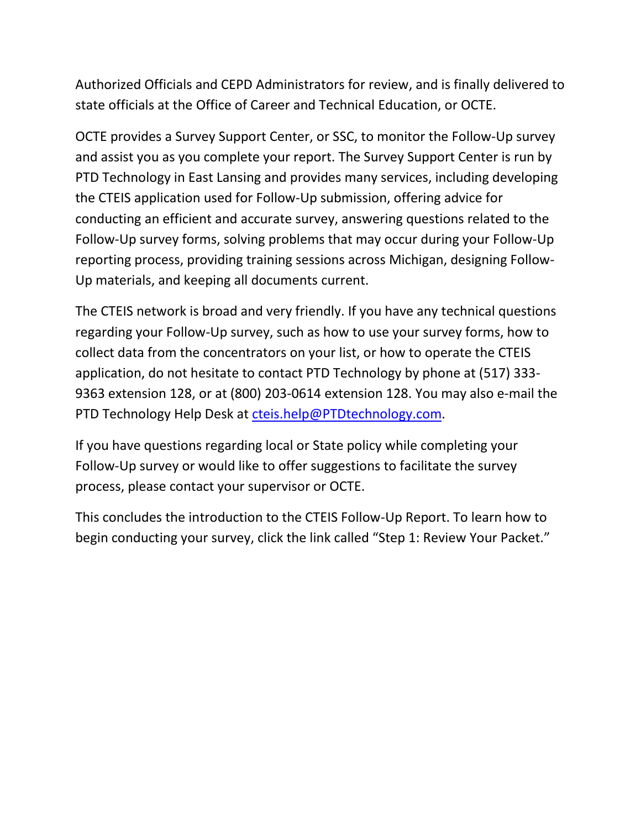Authorized Officials and CEPD Administrators for review, and is finally delivered to state officials at the Office of Career and Technical Education, or OCTE.

OCTE provides a Survey Support Center, or SSC, to monitor the Follow-Up survey and assist you as you complete your report. The Survey Support Center is run by PTD Technology in East Lansing and provides many services, including developing the CTEIS application used for Follow-Up submission, offering advice for conducting an efficient and accurate survey, answering questions related to the Follow-Up survey forms, solving problems that may occur during your Follow-Up reporting process, providing training sessions across Michigan, designing Follow-Up materials, and keeping all documents current.

The CTEIS network is broad and very friendly. If you have any technical questions regarding your Follow-Up survey, such as how to use your survey forms, how to collect data from the concentrators on your list, or how to operate the CTEIS application, do not hesitate to contact PTD Technology by phone at (517) 333- 9363 extension 128, or at (800) 203-0614 extension 128. You may also e-mail the PTD Technology Help Desk at [cteis.help@PTDtechnology.com.](mailto:cteis.help@PTDtechnology.com)

If you have questions regarding local or State policy while completing your Follow-Up survey or would like to offer suggestions to facilitate the survey process, please contact your supervisor or OCTE.

This concludes the introduction to the CTEIS Follow-Up Report. To learn how to begin conducting your survey, click the link called "Step 1: Review Your Packet."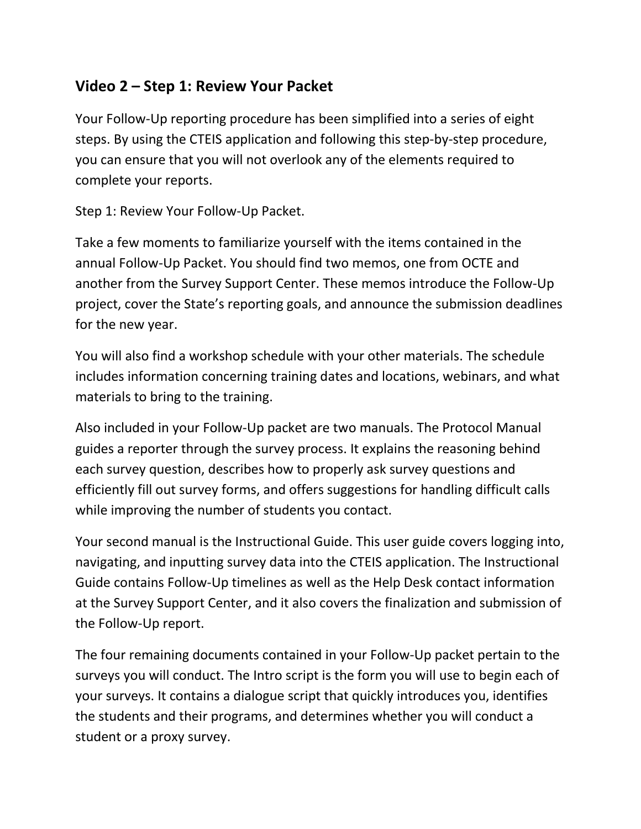#### **Video 2 – Step 1: Review Your Packet**

Your Follow-Up reporting procedure has been simplified into a series of eight steps. By using the CTEIS application and following this step-by-step procedure, you can ensure that you will not overlook any of the elements required to complete your reports.

Step 1: Review Your Follow-Up Packet.

Take a few moments to familiarize yourself with the items contained in the annual Follow-Up Packet. You should find two memos, one from OCTE and another from the Survey Support Center. These memos introduce the Follow-Up project, cover the State's reporting goals, and announce the submission deadlines for the new year.

You will also find a workshop schedule with your other materials. The schedule includes information concerning training dates and locations, webinars, and what materials to bring to the training.

Also included in your Follow-Up packet are two manuals. The Protocol Manual guides a reporter through the survey process. It explains the reasoning behind each survey question, describes how to properly ask survey questions and efficiently fill out survey forms, and offers suggestions for handling difficult calls while improving the number of students you contact.

Your second manual is the Instructional Guide. This user guide covers logging into, navigating, and inputting survey data into the CTEIS application. The Instructional Guide contains Follow-Up timelines as well as the Help Desk contact information at the Survey Support Center, and it also covers the finalization and submission of the Follow-Up report.

The four remaining documents contained in your Follow-Up packet pertain to the surveys you will conduct. The Intro script is the form you will use to begin each of your surveys. It contains a dialogue script that quickly introduces you, identifies the students and their programs, and determines whether you will conduct a student or a proxy survey.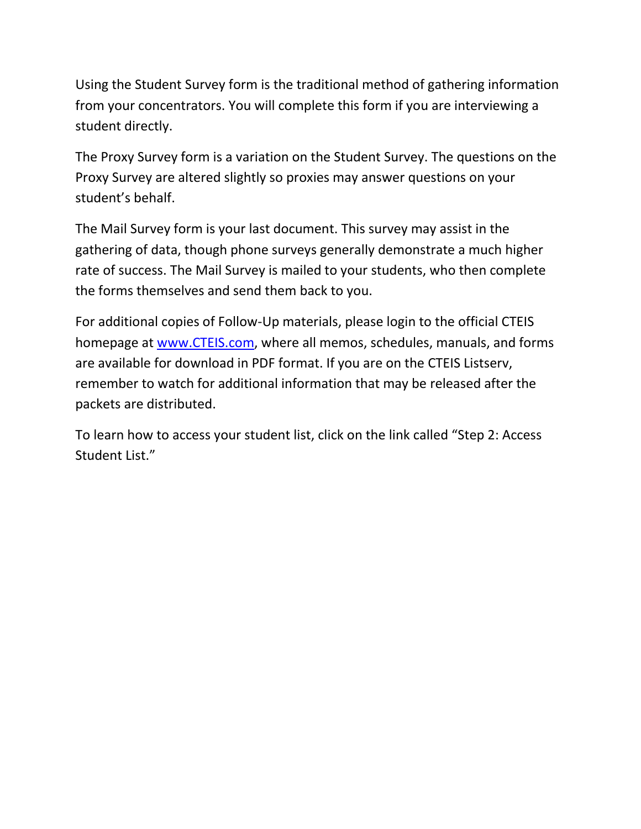Using the Student Survey form is the traditional method of gathering information from your concentrators. You will complete this form if you are interviewing a student directly.

The Proxy Survey form is a variation on the Student Survey. The questions on the Proxy Survey are altered slightly so proxies may answer questions on your student's behalf.

The Mail Survey form is your last document. This survey may assist in the gathering of data, though phone surveys generally demonstrate a much higher rate of success. The Mail Survey is mailed to your students, who then complete the forms themselves and send them back to you.

For additional copies of Follow-Up materials, please login to the official CTEIS homepage at [www.CTEIS.com,](http://www.cteis.com/) where all memos, schedules, manuals, and forms are available for download in PDF format. If you are on the CTEIS Listserv, remember to watch for additional information that may be released after the packets are distributed.

To learn how to access your student list, click on the link called "Step 2: Access Student List."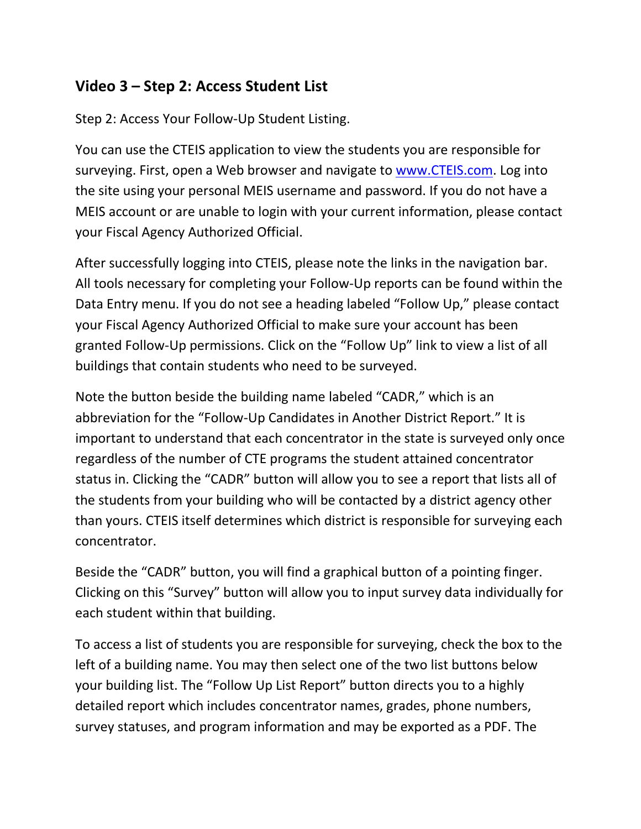#### **Video 3 – Step 2: Access Student List**

Step 2: Access Your Follow-Up Student Listing.

You can use the CTEIS application to view the students you are responsible for surveying. First, open a Web browser and navigate to [www.CTEIS.com.](http://www.cteis.com/) Log into the site using your personal MEIS username and password. If you do not have a MEIS account or are unable to login with your current information, please contact your Fiscal Agency Authorized Official.

After successfully logging into CTEIS, please note the links in the navigation bar. All tools necessary for completing your Follow-Up reports can be found within the Data Entry menu. If you do not see a heading labeled "Follow Up," please contact your Fiscal Agency Authorized Official to make sure your account has been granted Follow-Up permissions. Click on the "Follow Up" link to view a list of all buildings that contain students who need to be surveyed.

Note the button beside the building name labeled "CADR," which is an abbreviation for the "Follow-Up Candidates in Another District Report." It is important to understand that each concentrator in the state is surveyed only once regardless of the number of CTE programs the student attained concentrator status in. Clicking the "CADR" button will allow you to see a report that lists all of the students from your building who will be contacted by a district agency other than yours. CTEIS itself determines which district is responsible for surveying each concentrator.

Beside the "CADR" button, you will find a graphical button of a pointing finger. Clicking on this "Survey" button will allow you to input survey data individually for each student within that building.

To access a list of students you are responsible for surveying, check the box to the left of a building name. You may then select one of the two list buttons below your building list. The "Follow Up List Report" button directs you to a highly detailed report which includes concentrator names, grades, phone numbers, survey statuses, and program information and may be exported as a PDF. The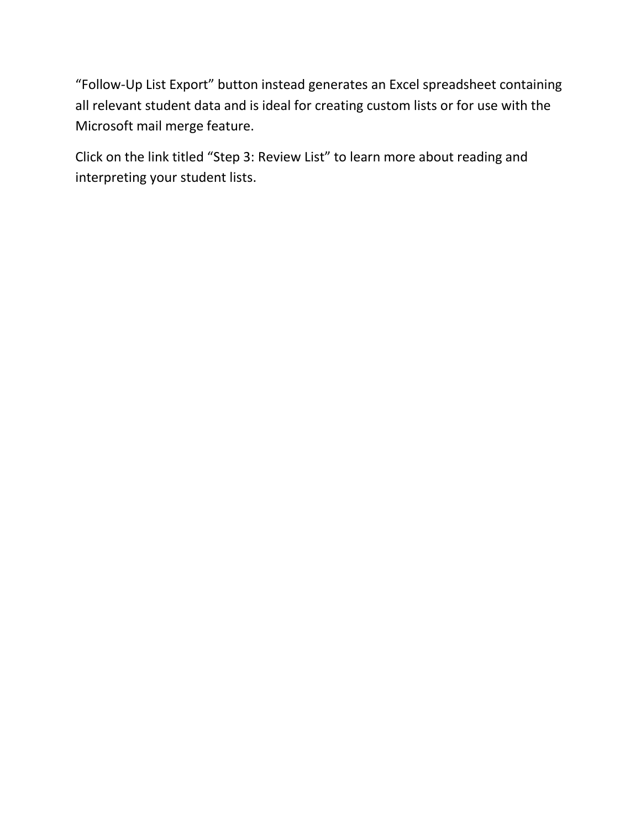"Follow-Up List Export" button instead generates an Excel spreadsheet containing all relevant student data and is ideal for creating custom lists or for use with the Microsoft mail merge feature.

Click on the link titled "Step 3: Review List" to learn more about reading and interpreting your student lists.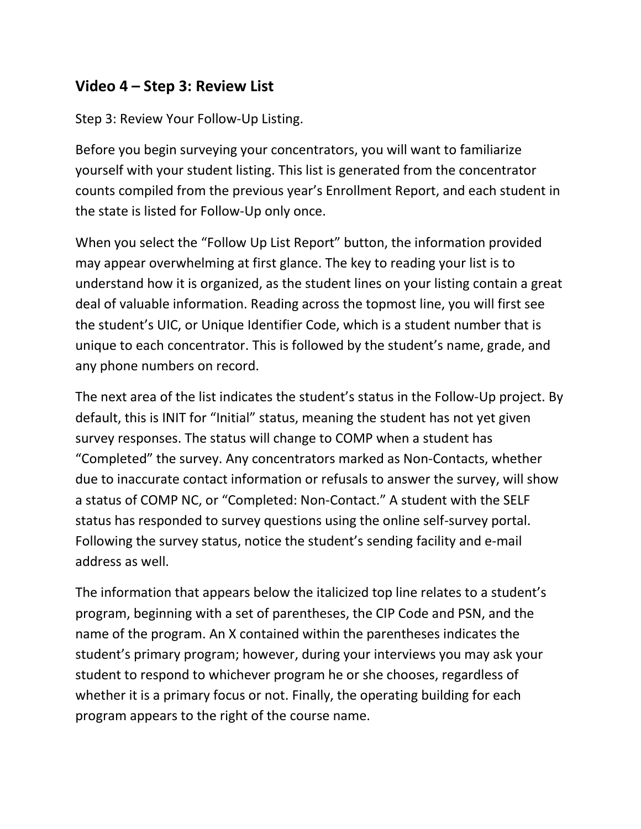#### **Video 4 – Step 3: Review List**

Step 3: Review Your Follow-Up Listing.

Before you begin surveying your concentrators, you will want to familiarize yourself with your student listing. This list is generated from the concentrator counts compiled from the previous year's Enrollment Report, and each student in the state is listed for Follow-Up only once.

When you select the "Follow Up List Report" button, the information provided may appear overwhelming at first glance. The key to reading your list is to understand how it is organized, as the student lines on your listing contain a great deal of valuable information. Reading across the topmost line, you will first see the student's UIC, or Unique Identifier Code, which is a student number that is unique to each concentrator. This is followed by the student's name, grade, and any phone numbers on record.

The next area of the list indicates the student's status in the Follow-Up project. By default, this is INIT for "Initial" status, meaning the student has not yet given survey responses. The status will change to COMP when a student has "Completed" the survey. Any concentrators marked as Non-Contacts, whether due to inaccurate contact information or refusals to answer the survey, will show a status of COMP NC, or "Completed: Non-Contact." A student with the SELF status has responded to survey questions using the online self-survey portal. Following the survey status, notice the student's sending facility and e-mail address as well.

The information that appears below the italicized top line relates to a student's program, beginning with a set of parentheses, the CIP Code and PSN, and the name of the program. An X contained within the parentheses indicates the student's primary program; however, during your interviews you may ask your student to respond to whichever program he or she chooses, regardless of whether it is a primary focus or not. Finally, the operating building for each program appears to the right of the course name.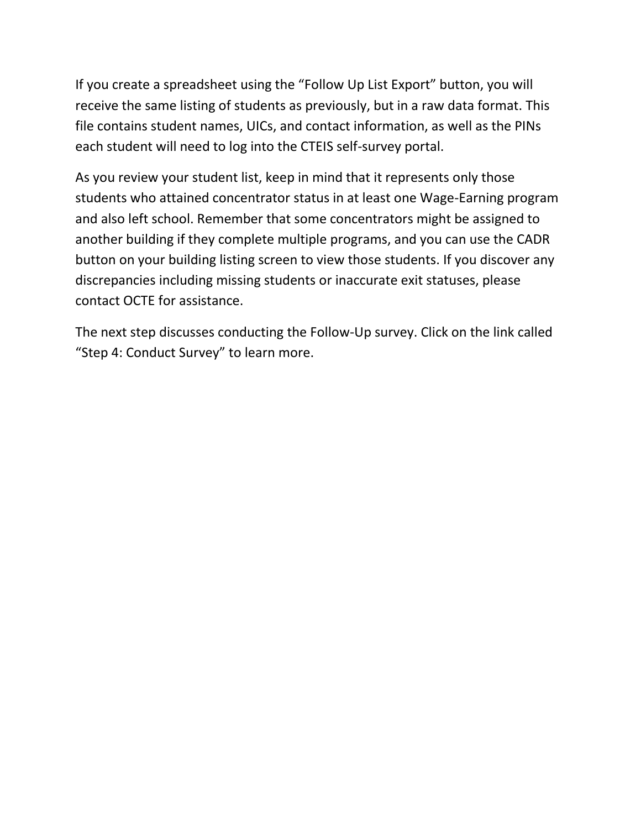If you create a spreadsheet using the "Follow Up List Export" button, you will receive the same listing of students as previously, but in a raw data format. This file contains student names, UICs, and contact information, as well as the PINs each student will need to log into the CTEIS self-survey portal.

As you review your student list, keep in mind that it represents only those students who attained concentrator status in at least one Wage-Earning program and also left school. Remember that some concentrators might be assigned to another building if they complete multiple programs, and you can use the CADR button on your building listing screen to view those students. If you discover any discrepancies including missing students or inaccurate exit statuses, please contact OCTE for assistance.

The next step discusses conducting the Follow-Up survey. Click on the link called "Step 4: Conduct Survey" to learn more.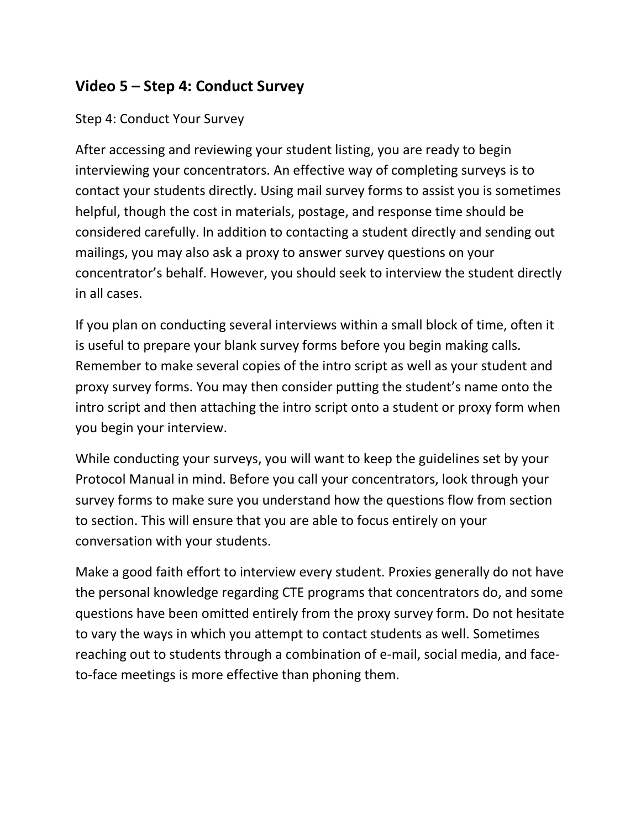#### **Video 5 – Step 4: Conduct Survey**

#### Step 4: Conduct Your Survey

After accessing and reviewing your student listing, you are ready to begin interviewing your concentrators. An effective way of completing surveys is to contact your students directly. Using mail survey forms to assist you is sometimes helpful, though the cost in materials, postage, and response time should be considered carefully. In addition to contacting a student directly and sending out mailings, you may also ask a proxy to answer survey questions on your concentrator's behalf. However, you should seek to interview the student directly in all cases.

If you plan on conducting several interviews within a small block of time, often it is useful to prepare your blank survey forms before you begin making calls. Remember to make several copies of the intro script as well as your student and proxy survey forms. You may then consider putting the student's name onto the intro script and then attaching the intro script onto a student or proxy form when you begin your interview.

While conducting your surveys, you will want to keep the guidelines set by your Protocol Manual in mind. Before you call your concentrators, look through your survey forms to make sure you understand how the questions flow from section to section. This will ensure that you are able to focus entirely on your conversation with your students.

Make a good faith effort to interview every student. Proxies generally do not have the personal knowledge regarding CTE programs that concentrators do, and some questions have been omitted entirely from the proxy survey form. Do not hesitate to vary the ways in which you attempt to contact students as well. Sometimes reaching out to students through a combination of e-mail, social media, and faceto-face meetings is more effective than phoning them.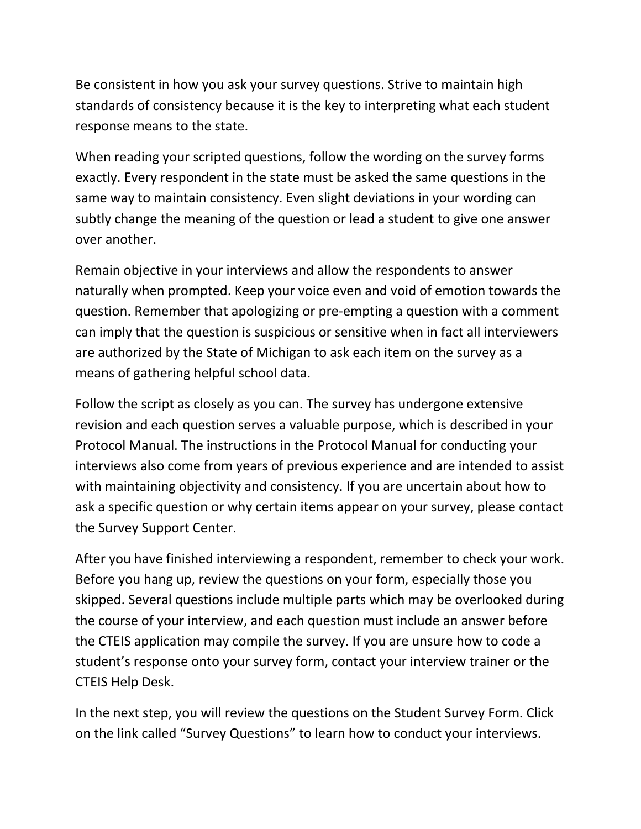Be consistent in how you ask your survey questions. Strive to maintain high standards of consistency because it is the key to interpreting what each student response means to the state.

When reading your scripted questions, follow the wording on the survey forms exactly. Every respondent in the state must be asked the same questions in the same way to maintain consistency. Even slight deviations in your wording can subtly change the meaning of the question or lead a student to give one answer over another.

Remain objective in your interviews and allow the respondents to answer naturally when prompted. Keep your voice even and void of emotion towards the question. Remember that apologizing or pre-empting a question with a comment can imply that the question is suspicious or sensitive when in fact all interviewers are authorized by the State of Michigan to ask each item on the survey as a means of gathering helpful school data.

Follow the script as closely as you can. The survey has undergone extensive revision and each question serves a valuable purpose, which is described in your Protocol Manual. The instructions in the Protocol Manual for conducting your interviews also come from years of previous experience and are intended to assist with maintaining objectivity and consistency. If you are uncertain about how to ask a specific question or why certain items appear on your survey, please contact the Survey Support Center.

After you have finished interviewing a respondent, remember to check your work. Before you hang up, review the questions on your form, especially those you skipped. Several questions include multiple parts which may be overlooked during the course of your interview, and each question must include an answer before the CTEIS application may compile the survey. If you are unsure how to code a student's response onto your survey form, contact your interview trainer or the CTEIS Help Desk.

In the next step, you will review the questions on the Student Survey Form. Click on the link called "Survey Questions" to learn how to conduct your interviews.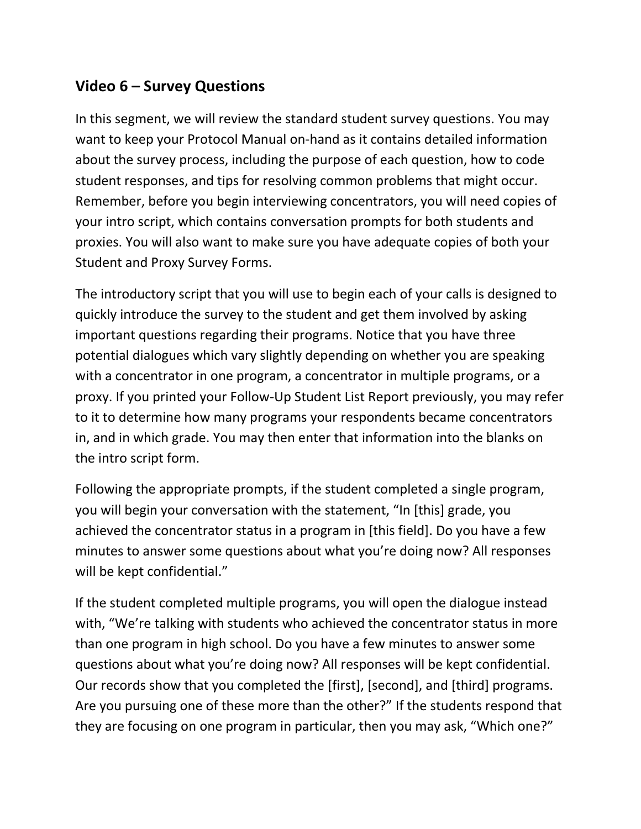### **Video 6 – Survey Questions**

In this segment, we will review the standard student survey questions. You may want to keep your Protocol Manual on-hand as it contains detailed information about the survey process, including the purpose of each question, how to code student responses, and tips for resolving common problems that might occur. Remember, before you begin interviewing concentrators, you will need copies of your intro script, which contains conversation prompts for both students and proxies. You will also want to make sure you have adequate copies of both your Student and Proxy Survey Forms.

The introductory script that you will use to begin each of your calls is designed to quickly introduce the survey to the student and get them involved by asking important questions regarding their programs. Notice that you have three potential dialogues which vary slightly depending on whether you are speaking with a concentrator in one program, a concentrator in multiple programs, or a proxy. If you printed your Follow-Up Student List Report previously, you may refer to it to determine how many programs your respondents became concentrators in, and in which grade. You may then enter that information into the blanks on the intro script form.

Following the appropriate prompts, if the student completed a single program, you will begin your conversation with the statement, "In [this] grade, you achieved the concentrator status in a program in [this field]. Do you have a few minutes to answer some questions about what you're doing now? All responses will be kept confidential."

If the student completed multiple programs, you will open the dialogue instead with, "We're talking with students who achieved the concentrator status in more than one program in high school. Do you have a few minutes to answer some questions about what you're doing now? All responses will be kept confidential. Our records show that you completed the [first], [second], and [third] programs. Are you pursuing one of these more than the other?" If the students respond that they are focusing on one program in particular, then you may ask, "Which one?"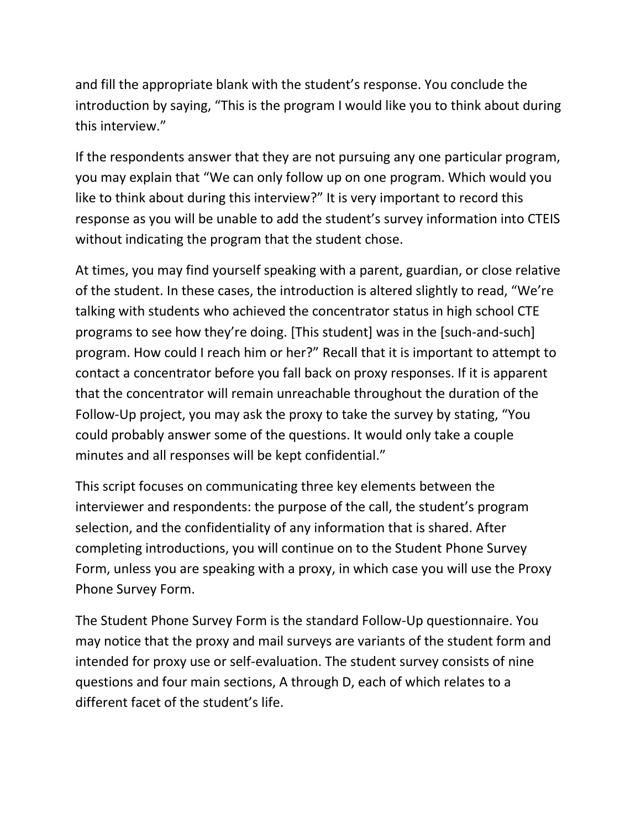and fill the appropriate blank with the student's response. You conclude the introduction by saying, "This is the program I would like you to think about during this interview."

If the respondents answer that they are not pursuing any one particular program, you may explain that "We can only follow up on one program. Which would you like to think about during this interview?" It is very important to record this response as you will be unable to add the student's survey information into CTEIS without indicating the program that the student chose.

At times, you may find yourself speaking with a parent, guardian, or close relative of the student. In these cases, the introduction is altered slightly to read, "We're talking with students who achieved the concentrator status in high school CTE programs to see how they're doing. [This student] was in the [such-and-such] program. How could I reach him or her?" Recall that it is important to attempt to contact a concentrator before you fall back on proxy responses. If it is apparent that the concentrator will remain unreachable throughout the duration of the Follow-Up project, you may ask the proxy to take the survey by stating, "You could probably answer some of the questions. It would only take a couple minutes and all responses will be kept confidential."

This script focuses on communicating three key elements between the interviewer and respondents: the purpose of the call, the student's program selection, and the confidentiality of any information that is shared. After completing introductions, you will continue on to the Student Phone Survey Form, unless you are speaking with a proxy, in which case you will use the Proxy Phone Survey Form.

The Student Phone Survey Form is the standard Follow-Up questionnaire. You may notice that the proxy and mail surveys are variants of the student form and intended for proxy use or self-evaluation. The student survey consists of nine questions and four main sections, A through D, each of which relates to a different facet of the student's life.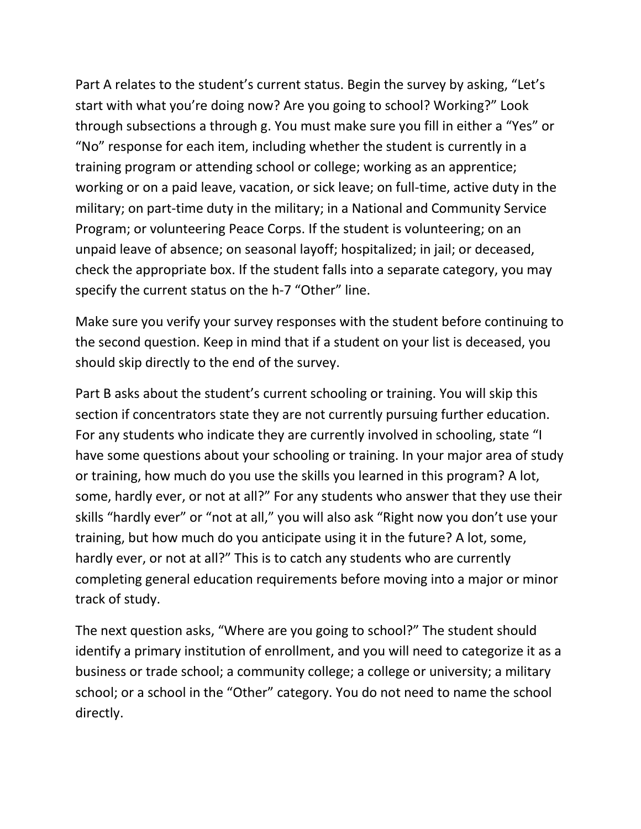Part A relates to the student's current status. Begin the survey by asking, "Let's start with what you're doing now? Are you going to school? Working?" Look through subsections a through g. You must make sure you fill in either a "Yes" or "No" response for each item, including whether the student is currently in a training program or attending school or college; working as an apprentice; working or on a paid leave, vacation, or sick leave; on full-time, active duty in the military; on part-time duty in the military; in a National and Community Service Program; or volunteering Peace Corps. If the student is volunteering; on an unpaid leave of absence; on seasonal layoff; hospitalized; in jail; or deceased, check the appropriate box. If the student falls into a separate category, you may specify the current status on the h-7 "Other" line.

Make sure you verify your survey responses with the student before continuing to the second question. Keep in mind that if a student on your list is deceased, you should skip directly to the end of the survey.

Part B asks about the student's current schooling or training. You will skip this section if concentrators state they are not currently pursuing further education. For any students who indicate they are currently involved in schooling, state "I have some questions about your schooling or training. In your major area of study or training, how much do you use the skills you learned in this program? A lot, some, hardly ever, or not at all?" For any students who answer that they use their skills "hardly ever" or "not at all," you will also ask "Right now you don't use your training, but how much do you anticipate using it in the future? A lot, some, hardly ever, or not at all?" This is to catch any students who are currently completing general education requirements before moving into a major or minor track of study.

The next question asks, "Where are you going to school?" The student should identify a primary institution of enrollment, and you will need to categorize it as a business or trade school; a community college; a college or university; a military school; or a school in the "Other" category. You do not need to name the school directly.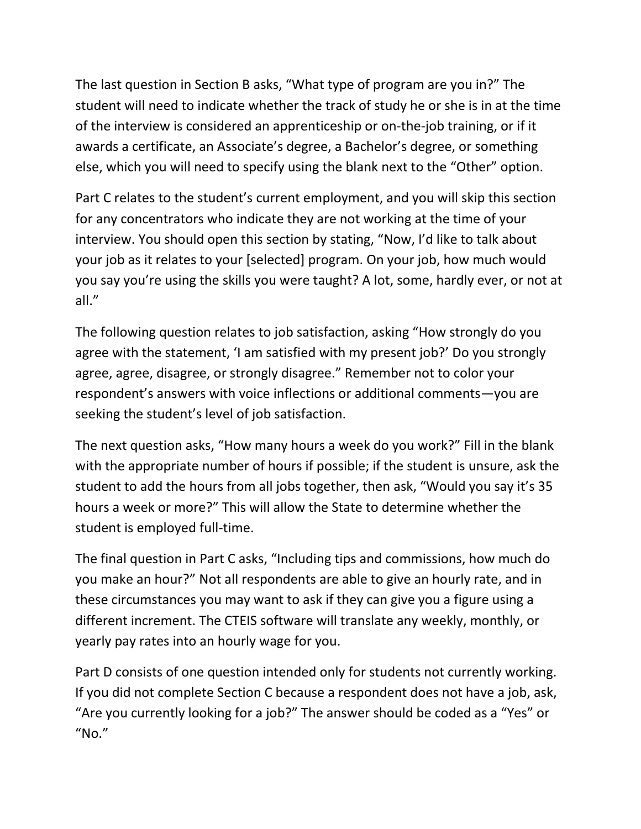The last question in Section B asks, "What type of program are you in?" The student will need to indicate whether the track of study he or she is in at the time of the interview is considered an apprenticeship or on-the-job training, or if it awards a certificate, an Associate's degree, a Bachelor's degree, or something else, which you will need to specify using the blank next to the "Other" option.

Part C relates to the student's current employment, and you will skip this section for any concentrators who indicate they are not working at the time of your interview. You should open this section by stating, "Now, I'd like to talk about your job as it relates to your [selected] program. On your job, how much would you say you're using the skills you were taught? A lot, some, hardly ever, or not at all."

The following question relates to job satisfaction, asking "How strongly do you agree with the statement, 'I am satisfied with my present job?' Do you strongly agree, agree, disagree, or strongly disagree." Remember not to color your respondent's answers with voice inflections or additional comments—you are seeking the student's level of job satisfaction.

The next question asks, "How many hours a week do you work?" Fill in the blank with the appropriate number of hours if possible; if the student is unsure, ask the student to add the hours from all jobs together, then ask, "Would you say it's 35 hours a week or more?" This will allow the State to determine whether the student is employed full-time.

The final question in Part C asks, "Including tips and commissions, how much do you make an hour?" Not all respondents are able to give an hourly rate, and in these circumstances you may want to ask if they can give you a figure using a different increment. The CTEIS software will translate any weekly, monthly, or yearly pay rates into an hourly wage for you.

Part D consists of one question intended only for students not currently working. If you did not complete Section C because a respondent does not have a job, ask, "Are you currently looking for a job?" The answer should be coded as a "Yes" or  $^{\prime\prime}$ No."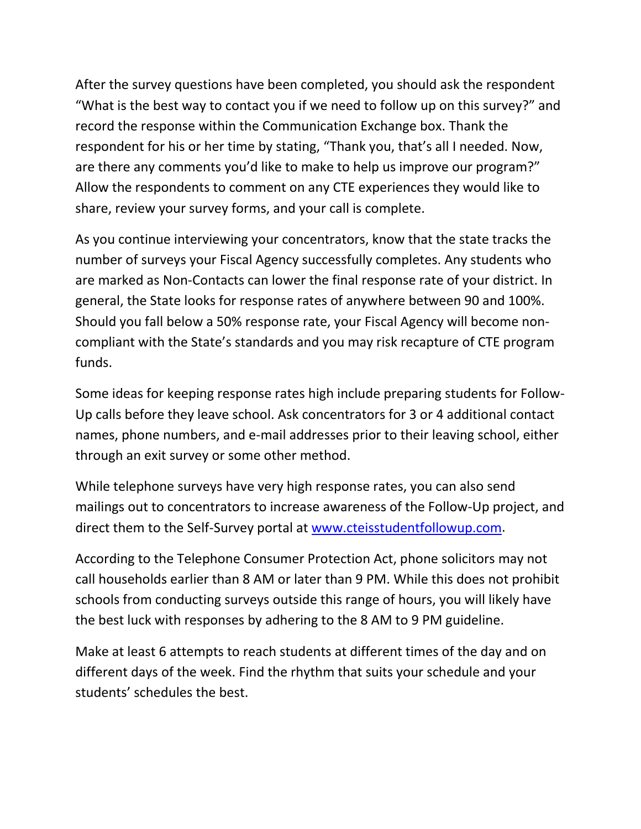After the survey questions have been completed, you should ask the respondent "What is the best way to contact you if we need to follow up on this survey?" and record the response within the Communication Exchange box. Thank the respondent for his or her time by stating, "Thank you, that's all I needed. Now, are there any comments you'd like to make to help us improve our program?" Allow the respondents to comment on any CTE experiences they would like to share, review your survey forms, and your call is complete.

As you continue interviewing your concentrators, know that the state tracks the number of surveys your Fiscal Agency successfully completes. Any students who are marked as Non-Contacts can lower the final response rate of your district. In general, the State looks for response rates of anywhere between 90 and 100%. Should you fall below a 50% response rate, your Fiscal Agency will become noncompliant with the State's standards and you may risk recapture of CTE program funds.

Some ideas for keeping response rates high include preparing students for Follow-Up calls before they leave school. Ask concentrators for 3 or 4 additional contact names, phone numbers, and e-mail addresses prior to their leaving school, either through an exit survey or some other method.

While telephone surveys have very high response rates, you can also send mailings out to concentrators to increase awareness of the Follow-Up project, and direct them to the Self-Survey portal at [www.cteisstudentfollowup.com.](http://www.cteisstudentfollowup.com/)

According to the Telephone Consumer Protection Act, phone solicitors may not call households earlier than 8 AM or later than 9 PM. While this does not prohibit schools from conducting surveys outside this range of hours, you will likely have the best luck with responses by adhering to the 8 AM to 9 PM guideline.

Make at least 6 attempts to reach students at different times of the day and on different days of the week. Find the rhythm that suits your schedule and your students' schedules the best.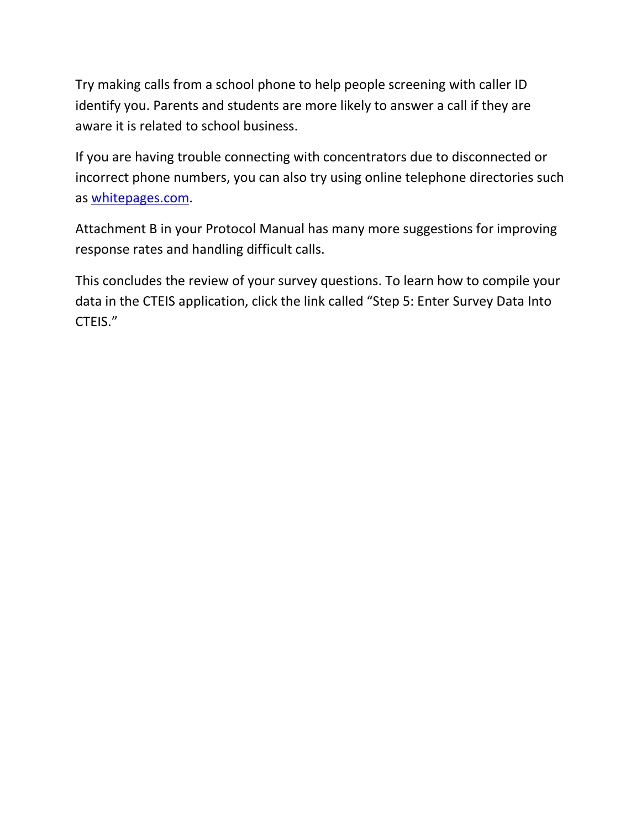Try making calls from a school phone to help people screening with caller ID identify you. Parents and students are more likely to answer a call if they are aware it is related to school business.

If you are having trouble connecting with concentrators due to disconnected or incorrect phone numbers, you can also try using online telephone directories such as [whitepages.com.](https://www.whitepages.com/)

Attachment B in your Protocol Manual has many more suggestions for improving response rates and handling difficult calls.

This concludes the review of your survey questions. To learn how to compile your data in the CTEIS application, click the link called "Step 5: Enter Survey Data Into CTEIS."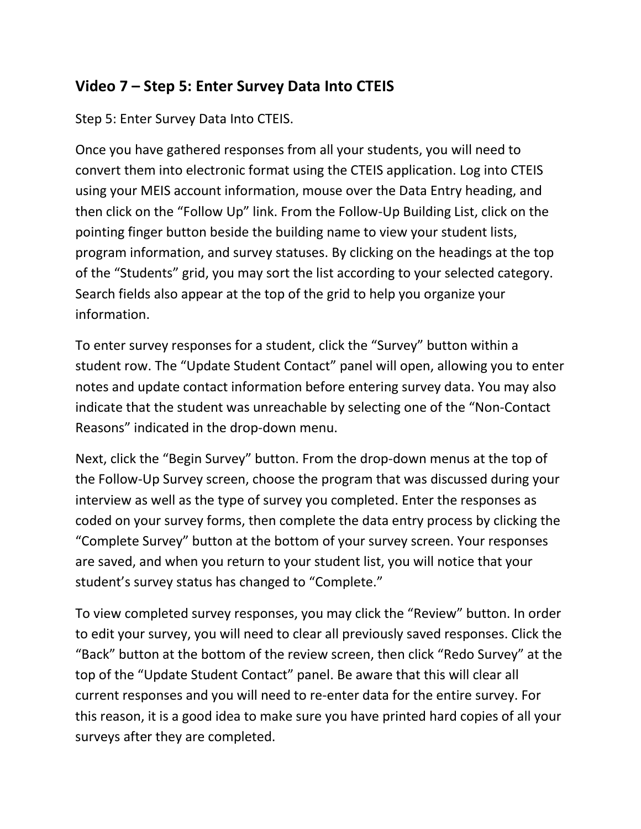#### **Video 7 – Step 5: Enter Survey Data Into CTEIS**

Step 5: Enter Survey Data Into CTEIS.

Once you have gathered responses from all your students, you will need to convert them into electronic format using the CTEIS application. Log into CTEIS using your MEIS account information, mouse over the Data Entry heading, and then click on the "Follow Up" link. From the Follow-Up Building List, click on the pointing finger button beside the building name to view your student lists, program information, and survey statuses. By clicking on the headings at the top of the "Students" grid, you may sort the list according to your selected category. Search fields also appear at the top of the grid to help you organize your information.

To enter survey responses for a student, click the "Survey" button within a student row. The "Update Student Contact" panel will open, allowing you to enter notes and update contact information before entering survey data. You may also indicate that the student was unreachable by selecting one of the "Non-Contact Reasons" indicated in the drop-down menu.

Next, click the "Begin Survey" button. From the drop-down menus at the top of the Follow-Up Survey screen, choose the program that was discussed during your interview as well as the type of survey you completed. Enter the responses as coded on your survey forms, then complete the data entry process by clicking the "Complete Survey" button at the bottom of your survey screen. Your responses are saved, and when you return to your student list, you will notice that your student's survey status has changed to "Complete."

To view completed survey responses, you may click the "Review" button. In order to edit your survey, you will need to clear all previously saved responses. Click the "Back" button at the bottom of the review screen, then click "Redo Survey" at the top of the "Update Student Contact" panel. Be aware that this will clear all current responses and you will need to re-enter data for the entire survey. For this reason, it is a good idea to make sure you have printed hard copies of all your surveys after they are completed.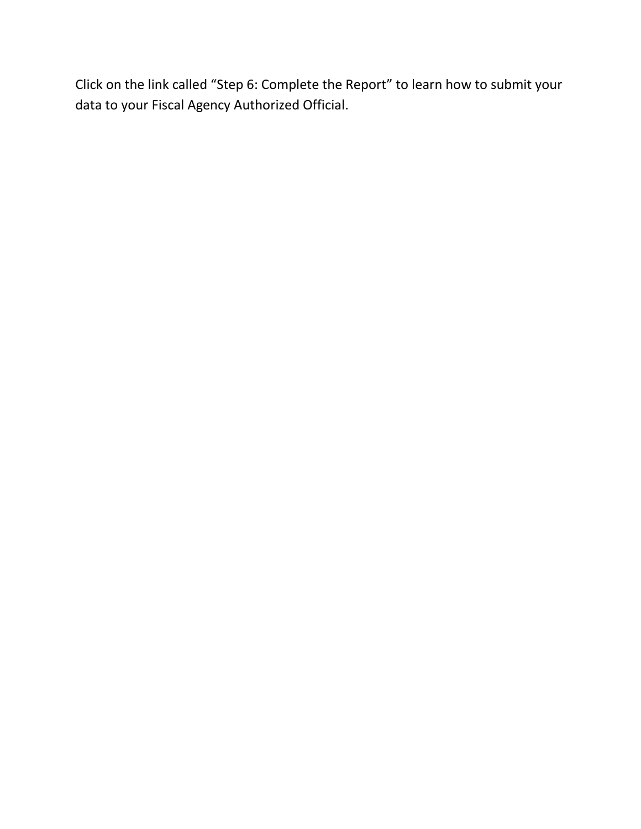Click on the link called "Step 6: Complete the Report" to learn how to submit your data to your Fiscal Agency Authorized Official.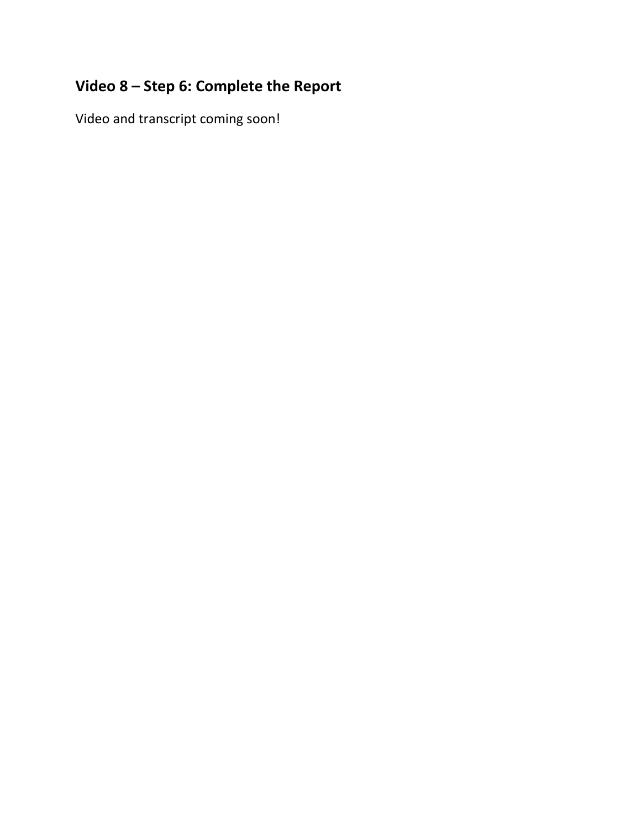# **Video 8 – Step 6: Complete the Report**

Video and transcript coming soon!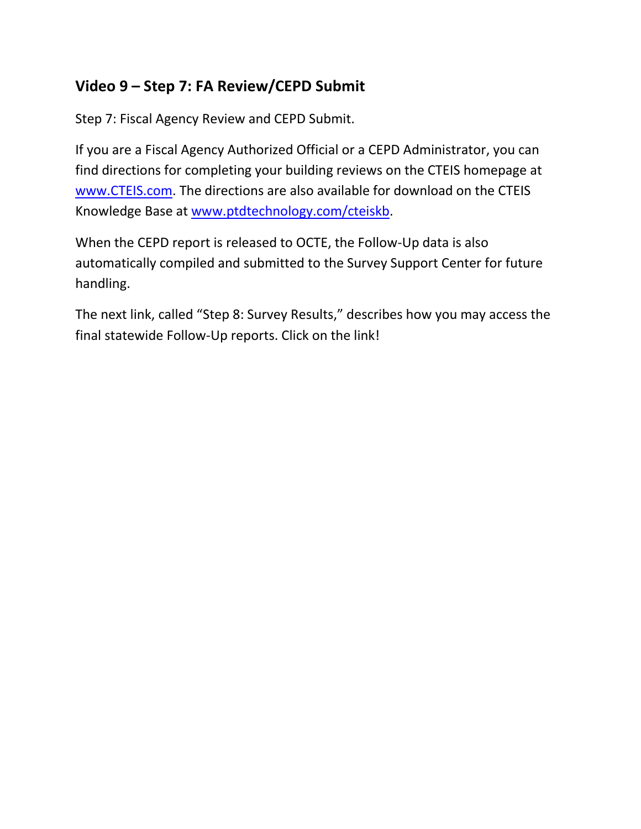## **Video 9 – Step 7: FA Review/CEPD Submit**

Step 7: Fiscal Agency Review and CEPD Submit.

If you are a Fiscal Agency Authorized Official or a CEPD Administrator, you can find directions for completing your building reviews on the CTEIS homepage at [www.CTEIS.com.](http://www.cteis.com/) The directions are also available for download on the CTEIS Knowledge Base at [www.ptdtechnology.com/cteiskb.](http://www.ptdtechnology.com/cteiskb/)

When the CEPD report is released to OCTE, the Follow-Up data is also automatically compiled and submitted to the Survey Support Center for future handling.

The next link, called "Step 8: Survey Results," describes how you may access the final statewide Follow-Up reports. Click on the link!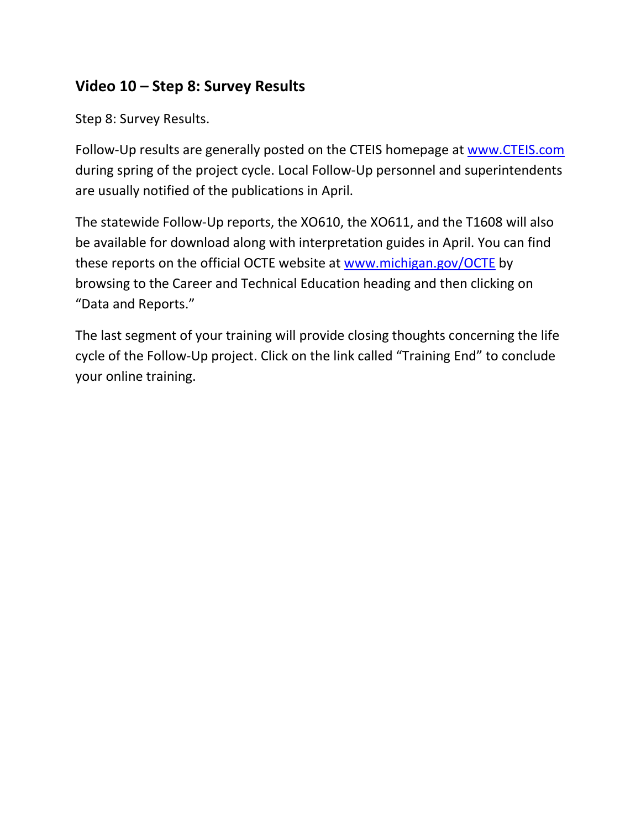### **Video 10 – Step 8: Survey Results**

Step 8: Survey Results.

Follow-Up results are generally posted on the CTEIS homepage at [www.CTEIS.com](http://www.cteis.com/) during spring of the project cycle. Local Follow-Up personnel and superintendents are usually notified of the publications in April.

The statewide Follow-Up reports, the XO610, the XO611, and the T1608 will also be available for download along with interpretation guides in April. You can find these reports on the official OCTE website at [www.michigan.gov/OCTE](http://www.michigan.gov/OCTE) by browsing to the Career and Technical Education heading and then clicking on "Data and Reports."

The last segment of your training will provide closing thoughts concerning the life cycle of the Follow-Up project. Click on the link called "Training End" to conclude your online training.